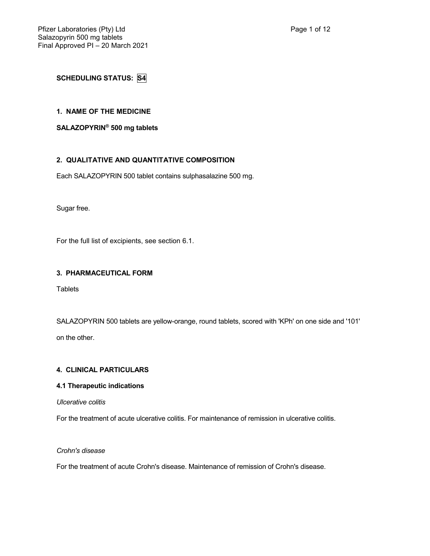# **SCHEDULING STATUS: S4**

### **1. NAME OF THE MEDICINE**

#### **SALAZOPYRIN® 500 mg tablets**

## **2. QUALITATIVE AND QUANTITATIVE COMPOSITION**

Each SALAZOPYRIN 500 tablet contains sulphasalazine 500 mg.

Sugar free.

For the full list of excipients, see section 6.1.

### **3. PHARMACEUTICAL FORM**

**Tablets** 

SALAZOPYRIN 500 tablets are yellow-orange, round tablets, scored with 'KPh' on one side and '101'

on the other.

## **4. CLINICAL PARTICULARS**

### **4.1 Therapeutic indications**

*Ulcerative colitis*

For the treatment of acute ulcerative colitis. For maintenance of remission in ulcerative colitis.

*Crohn's disease*

For the treatment of acute Crohn's disease. Maintenance of remission of Crohn's disease.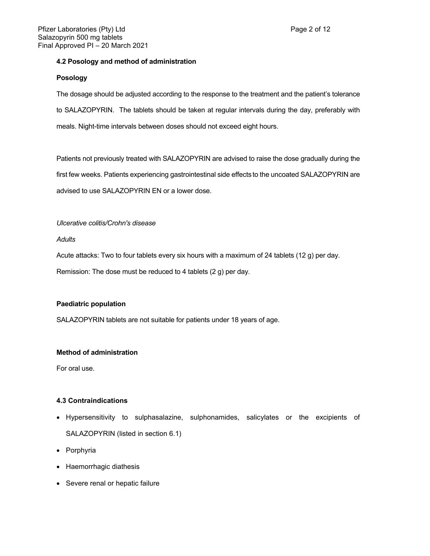### **4.2 Posology and method of administration**

#### **Posology**

The dosage should be adjusted according to the response to the treatment and the patient's tolerance to SALAZOPYRIN. The tablets should be taken at regular intervals during the day, preferably with meals. Night-time intervals between doses should not exceed eight hours.

Patients not previously treated with SALAZOPYRIN are advised to raise the dose gradually during the first few weeks. Patients experiencing gastrointestinal side effects to the uncoated SALAZOPYRIN are advised to use SALAZOPYRIN EN or a lower dose.

#### *Ulcerative colitis/Crohn's disease*

*Adults*

Acute attacks: Two to four tablets every six hours with a maximum of 24 tablets (12 g) per day.

Remission: The dose must be reduced to 4 tablets (2 g) per day.

### **Paediatric population**

SALAZOPYRIN tablets are not suitable for patients under 18 years of age.

### **Method of administration**

For oral use.

### **4.3 Contraindications**

- Hypersensitivity to sulphasalazine, sulphonamides, salicylates or the excipients of SALAZOPYRIN (listed in section 6.1)
- Porphyria
- Haemorrhagic diathesis
- Severe renal or hepatic failure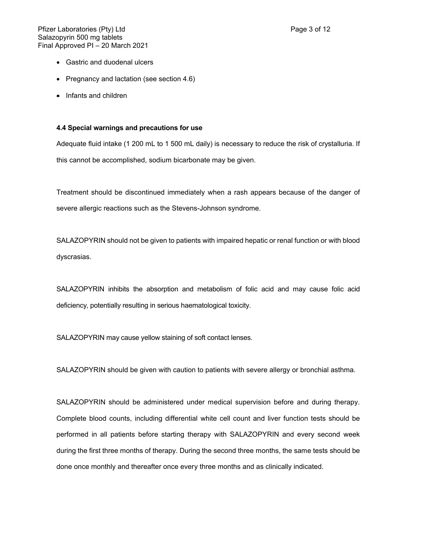- Gastric and duodenal ulcers
- Pregnancy and lactation (see section 4.6)
- Infants and children

#### **4.4 Special warnings and precautions for use**

Adequate fluid intake (1 200 mL to 1 500 mL daily) is necessary to reduce the risk of crystalluria. If this cannot be accomplished, sodium bicarbonate may be given.

Treatment should be discontinued immediately when a rash appears because of the danger of severe allergic reactions such as the Stevens-Johnson syndrome.

SALAZOPYRIN should not be given to patients with impaired hepatic or renal function or with blood dyscrasias.

SALAZOPYRIN inhibits the absorption and metabolism of folic acid and may cause folic acid deficiency, potentially resulting in serious haematological toxicity.

SALAZOPYRIN may cause yellow staining of soft contact lenses.

SALAZOPYRIN should be given with caution to patients with severe allergy or bronchial asthma.

SALAZOPYRIN should be administered under medical supervision before and during therapy. Complete blood counts, including differential white cell count and liver function tests should be performed in all patients before starting therapy with SALAZOPYRIN and every second week during the first three months of therapy. During the second three months, the same tests should be done once monthly and thereafter once every three months and as clinically indicated.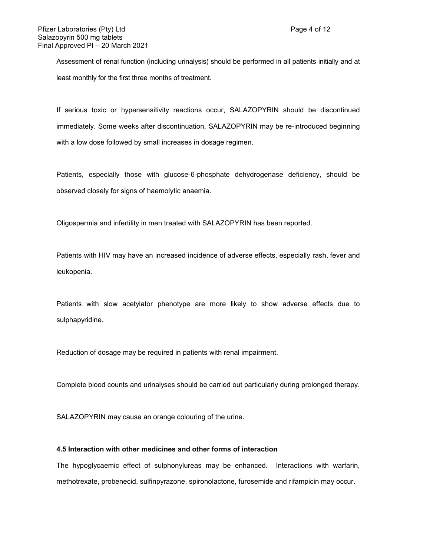Assessment of renal function (including urinalysis) should be performed in all patients initially and at least monthly for the first three months of treatment.

If serious toxic or hypersensitivity reactions occur, SALAZOPYRIN should be discontinued immediately. Some weeks after discontinuation, SALAZOPYRIN may be re-introduced beginning with a low dose followed by small increases in dosage regimen.

Patients, especially those with glucose-6-phosphate dehydrogenase deficiency, should be observed closely for signs of haemolytic anaemia.

Oligospermia and infertility in men treated with SALAZOPYRIN has been reported.

Patients with HIV may have an increased incidence of adverse effects, especially rash, fever and leukopenia.

Patients with slow acetylator phenotype are more likely to show adverse effects due to sulphapyridine.

Reduction of dosage may be required in patients with renal impairment.

Complete blood counts and urinalyses should be carried out particularly during prolonged therapy.

SALAZOPYRIN may cause an orange colouring of the urine.

### **4.5 Interaction with other medicines and other forms of interaction**

The hypoglycaemic effect of sulphonylureas may be enhanced. Interactions with warfarin, methotrexate, probenecid, sulfinpyrazone, spironolactone, furosemide and rifampicin may occur.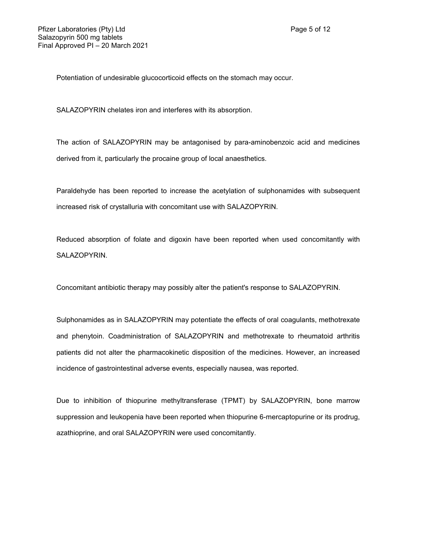Potentiation of undesirable glucocorticoid effects on the stomach may occur.

SALAZOPYRIN chelates iron and interferes with its absorption.

The action of SALAZOPYRIN may be antagonised by para-aminobenzoic acid and medicines derived from it, particularly the procaine group of local anaesthetics.

Paraldehyde has been reported to increase the acetylation of sulphonamides with subsequent increased risk of crystalluria with concomitant use with SALAZOPYRIN.

Reduced absorption of folate and digoxin have been reported when used concomitantly with SALAZOPYRIN.

Concomitant antibiotic therapy may possibly alter the patient's response to SALAZOPYRIN.

Sulphonamides as in SALAZOPYRIN may potentiate the effects of oral coagulants, methotrexate and phenytoin. Coadministration of SALAZOPYRIN and methotrexate to rheumatoid arthritis patients did not alter the pharmacokinetic disposition of the medicines. However, an increased incidence of gastrointestinal adverse events, especially nausea, was reported.

Due to inhibition of thiopurine methyltransferase (TPMT) by SALAZOPYRIN, bone marrow suppression and leukopenia have been reported when thiopurine 6-mercaptopurine or its prodrug, azathioprine, and oral SALAZOPYRIN were used concomitantly.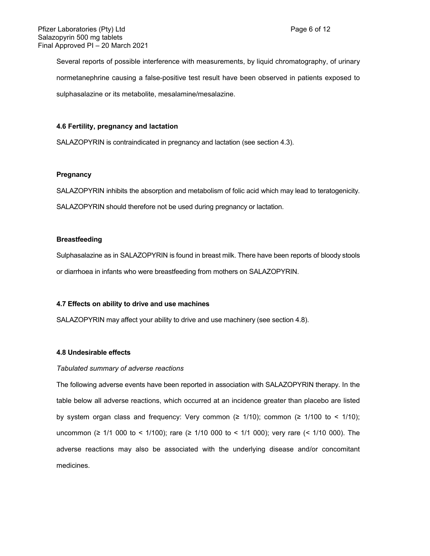Several reports of possible interference with measurements, by liquid chromatography, of urinary normetanephrine causing a false-positive test result have been observed in patients exposed to sulphasalazine or its metabolite, mesalamine/mesalazine.

#### **4.6 Fertility, pregnancy and lactation**

SALAZOPYRIN is contraindicated in pregnancy and lactation (see section 4.3).

#### **Pregnancy**

SALAZOPYRIN inhibits the absorption and metabolism of folic acid which may lead to teratogenicity.

SALAZOPYRIN should therefore not be used during pregnancy or lactation.

#### **Breastfeeding**

Sulphasalazine as in SALAZOPYRIN is found in breast milk. There have been reports of bloody stools or diarrhoea in infants who were breastfeeding from mothers on SALAZOPYRIN.

#### **4.7 Effects on ability to drive and use machines**

SALAZOPYRIN may affect your ability to drive and use machinery (see section 4.8).

#### **4.8 Undesirable effects**

#### *Tabulated summary of adverse reactions*

The following adverse events have been reported in association with SALAZOPYRIN therapy. In the table below all adverse reactions, which occurred at an incidence greater than placebo are listed by system organ class and frequency: Very common ( $\geq$  1/10); common ( $\geq$  1/100 to < 1/10); uncommon (≥ 1/1 000 to < 1/100); rare (≥ 1/10 000 to < 1/1 000); very rare (< 1/10 000). The adverse reactions may also be associated with the underlying disease and/or concomitant medicines.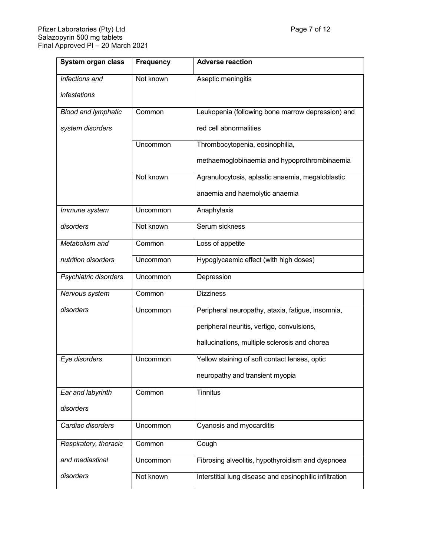| <b>System organ class</b>  | <b>Frequency</b> | <b>Adverse reaction</b>                                 |  |
|----------------------------|------------------|---------------------------------------------------------|--|
| Infections and             | Not known        | Aseptic meningitis                                      |  |
| infestations               |                  |                                                         |  |
| <b>Blood and lymphatic</b> | Common           | Leukopenia (following bone marrow depression) and       |  |
| system disorders           |                  | red cell abnormalities                                  |  |
|                            | Uncommon         | Thrombocytopenia, eosinophilia,                         |  |
|                            |                  | methaemoglobinaemia and hypoprothrombinaemia            |  |
|                            | Not known        | Agranulocytosis, aplastic anaemia, megaloblastic        |  |
|                            |                  | anaemia and haemolytic anaemia                          |  |
| Immune system              | Uncommon         | Anaphylaxis                                             |  |
| disorders                  | Not known        | Serum sickness                                          |  |
| Metabolism and             | Common           | Loss of appetite                                        |  |
| nutrition disorders        | Uncommon         | Hypoglycaemic effect (with high doses)                  |  |
| Psychiatric disorders      | Uncommon         | Depression                                              |  |
| Nervous system             | Common           | <b>Dizziness</b>                                        |  |
| disorders                  | <b>Uncommon</b>  | Peripheral neuropathy, ataxia, fatigue, insomnia,       |  |
|                            |                  | peripheral neuritis, vertigo, convulsions,              |  |
|                            |                  | hallucinations, multiple sclerosis and chorea           |  |
| Eye disorders              | Uncommon         | Yellow staining of soft contact lenses, optic           |  |
|                            |                  | neuropathy and transient myopia                         |  |
| Ear and labyrinth          | Common           | <b>Tinnitus</b>                                         |  |
| disorders                  |                  |                                                         |  |
| Cardiac disorders          | Uncommon         | Cyanosis and myocarditis                                |  |
| Respiratory, thoracic      | Common           | Cough                                                   |  |
| and mediastinal            | <b>Uncommon</b>  | Fibrosing alveolitis, hypothyroidism and dyspnoea       |  |
| disorders                  | Not known        | Interstitial lung disease and eosinophilic infiltration |  |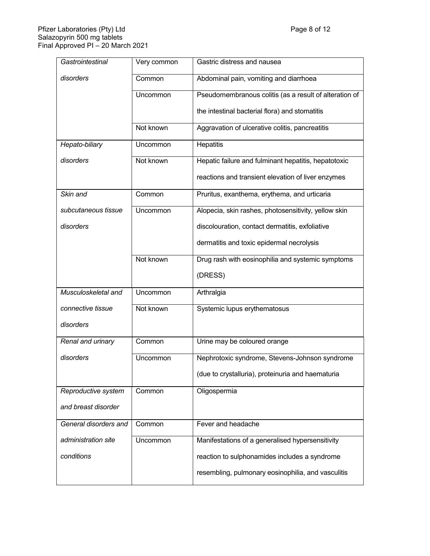| Gastrointestinal      | Very common | Gastric distress and nausea                            |  |
|-----------------------|-------------|--------------------------------------------------------|--|
| disorders             | Common      | Abdominal pain, vomiting and diarrhoea                 |  |
|                       | Uncommon    | Pseudomembranous colitis (as a result of alteration of |  |
|                       |             | the intestinal bacterial flora) and stomatitis         |  |
|                       | Not known   | Aggravation of ulcerative colitis, pancreatitis        |  |
| Hepato-biliary        | Uncommon    | Hepatitis                                              |  |
| disorders             | Not known   | Hepatic failure and fulminant hepatitis, hepatotoxic   |  |
|                       |             | reactions and transient elevation of liver enzymes     |  |
| Skin and              | Common      | Pruritus, exanthema, erythema, and urticaria           |  |
| subcutaneous tissue   | Uncommon    | Alopecia, skin rashes, photosensitivity, yellow skin   |  |
| disorders             |             | discolouration, contact dermatitis, exfoliative        |  |
|                       |             | dermatitis and toxic epidermal necrolysis              |  |
|                       | Not known   | Drug rash with eosinophilia and systemic symptoms      |  |
|                       |             | (DRESS)                                                |  |
| Musculoskeletal and   | Uncommon    | Arthralgia                                             |  |
| connective tissue     | Not known   | Systemic lupus erythematosus                           |  |
| disorders             |             |                                                        |  |
| Renal and urinary     | Common      | Urine may be coloured orange                           |  |
| disorders             | Uncommon    | Nephrotoxic syndrome, Stevens-Johnson syndrome         |  |
|                       |             | (due to crystalluria), proteinuria and haematuria      |  |
| Reproductive system   | Common      | Oligospermia                                           |  |
| and breast disorder   |             |                                                        |  |
| General disorders and | Common      | Fever and headache                                     |  |
| administration site   | Uncommon    | Manifestations of a generalised hypersensitivity       |  |
| conditions            |             | reaction to sulphonamides includes a syndrome          |  |
|                       |             | resembling, pulmonary eosinophilia, and vasculitis     |  |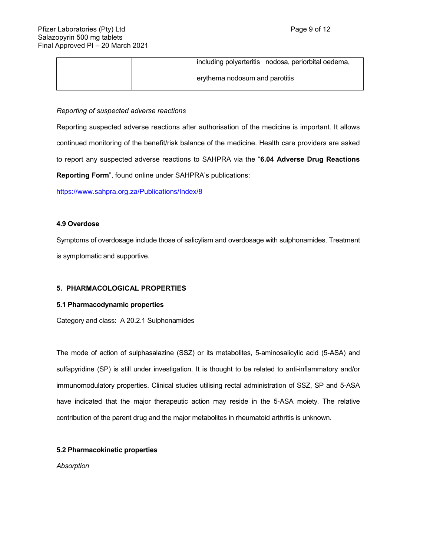|  |                                | including polyarteritis nodosa, periorbital oedema, |
|--|--------------------------------|-----------------------------------------------------|
|  | erythema nodosum and parotitis |                                                     |

#### *Reporting of suspected adverse reactions*

Reporting suspected adverse reactions after authorisation of the medicine is important. It allows continued monitoring of the benefit/risk balance of the medicine. Health care providers are asked to report any suspected adverse reactions to SAHPRA via the "**6.04 Adverse Drug Reactions Reporting Form**", found online under SAHPRA's publications:

<https://www.sahpra.org.za/Publications/Index/8>

#### **4.9 Overdose**

Symptoms of overdosage include those of salicylism and overdosage with sulphonamides. Treatment is symptomatic and supportive.

#### **5. PHARMACOLOGICAL PROPERTIES**

#### **5.1 Pharmacodynamic properties**

Category and class: A 20.2.1 Sulphonamides

The mode of action of sulphasalazine (SSZ) or its metabolites, 5-aminosalicylic acid (5-ASA) and sulfapyridine (SP) is still under investigation. It is thought to be related to anti-inflammatory and/or immunomodulatory properties. Clinical studies utilising rectal administration of SSZ, SP and 5-ASA have indicated that the major therapeutic action may reside in the 5-ASA moiety. The relative contribution of the parent drug and the major metabolites in rheumatoid arthritis is unknown.

#### **5.2 Pharmacokinetic properties**

*Absorption*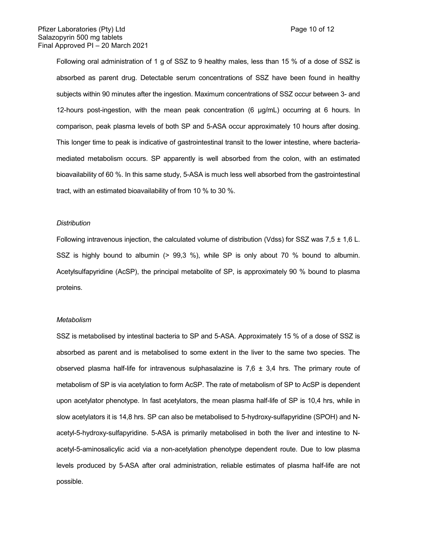Following oral administration of 1 g of SSZ to 9 healthy males, less than 15 % of a dose of SSZ is absorbed as parent drug. Detectable serum concentrations of SSZ have been found in healthy subjects within 90 minutes after the ingestion. Maximum concentrations of SSZ occur between 3- and 12-hours post-ingestion, with the mean peak concentration (6 μg/mL) occurring at 6 hours. In comparison, peak plasma levels of both SP and 5-ASA occur approximately 10 hours after dosing. This longer time to peak is indicative of gastrointestinal transit to the lower intestine, where bacteriamediated metabolism occurs. SP apparently is well absorbed from the colon, with an estimated bioavailability of 60 %. In this same study, 5-ASA is much less well absorbed from the gastrointestinal tract, with an estimated bioavailability of from 10 % to 30 %.

#### *Distribution*

Following intravenous injection, the calculated volume of distribution (Vdss) for SSZ was 7,5 ± 1,6 L. SSZ is highly bound to albumin (> 99,3 %), while SP is only about 70 % bound to albumin. Acetylsulfapyridine (AcSP), the principal metabolite of SP, is approximately 90 % bound to plasma proteins.

#### *Metabolism*

SSZ is metabolised by intestinal bacteria to SP and 5-ASA. Approximately 15 % of a dose of SSZ is absorbed as parent and is metabolised to some extent in the liver to the same two species. The observed plasma half-life for intravenous sulphasalazine is  $7,6 \pm 3,4$  hrs. The primary route of metabolism of SP is via acetylation to form AcSP. The rate of metabolism of SP to AcSP is dependent upon acetylator phenotype. In fast acetylators, the mean plasma half-life of SP is 10,4 hrs, while in slow acetylators it is 14,8 hrs. SP can also be metabolised to 5-hydroxy-sulfapyridine (SPOH) and Nacetyl-5-hydroxy-sulfapyridine. 5-ASA is primarily metabolised in both the liver and intestine to Nacetyl-5-aminosalicylic acid via a non-acetylation phenotype dependent route. Due to low plasma levels produced by 5-ASA after oral administration, reliable estimates of plasma half-life are not possible.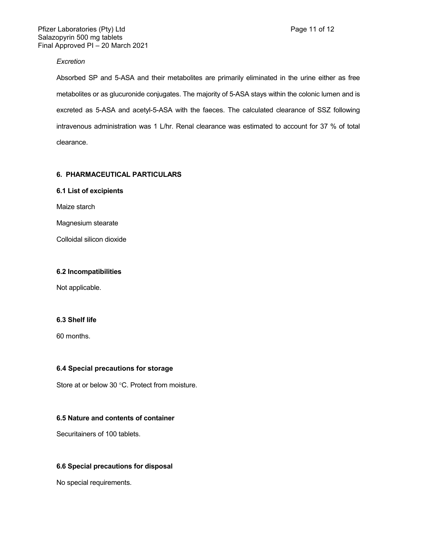### *Excretion*

Absorbed SP and 5-ASA and their metabolites are primarily eliminated in the urine either as free metabolites or as glucuronide conjugates. The majority of 5-ASA stays within the colonic lumen and is excreted as 5-ASA and acetyl-5-ASA with the faeces. The calculated clearance of SSZ following intravenous administration was 1 L/hr. Renal clearance was estimated to account for 37 % of total clearance.

### **6. PHARMACEUTICAL PARTICULARS**

### **6.1 List of excipients**

Maize starch

Magnesium stearate

Colloidal silicon dioxide

### **6.2 Incompatibilities**

Not applicable.

#### **6.3 Shelf life**

60 months.

#### **6.4 Special precautions for storage**

Store at or below 30 °C. Protect from moisture.

### **6.5 Nature and contents of container**

Securitainers of 100 tablets.

### **6.6 Special precautions for disposal**

No special requirements.